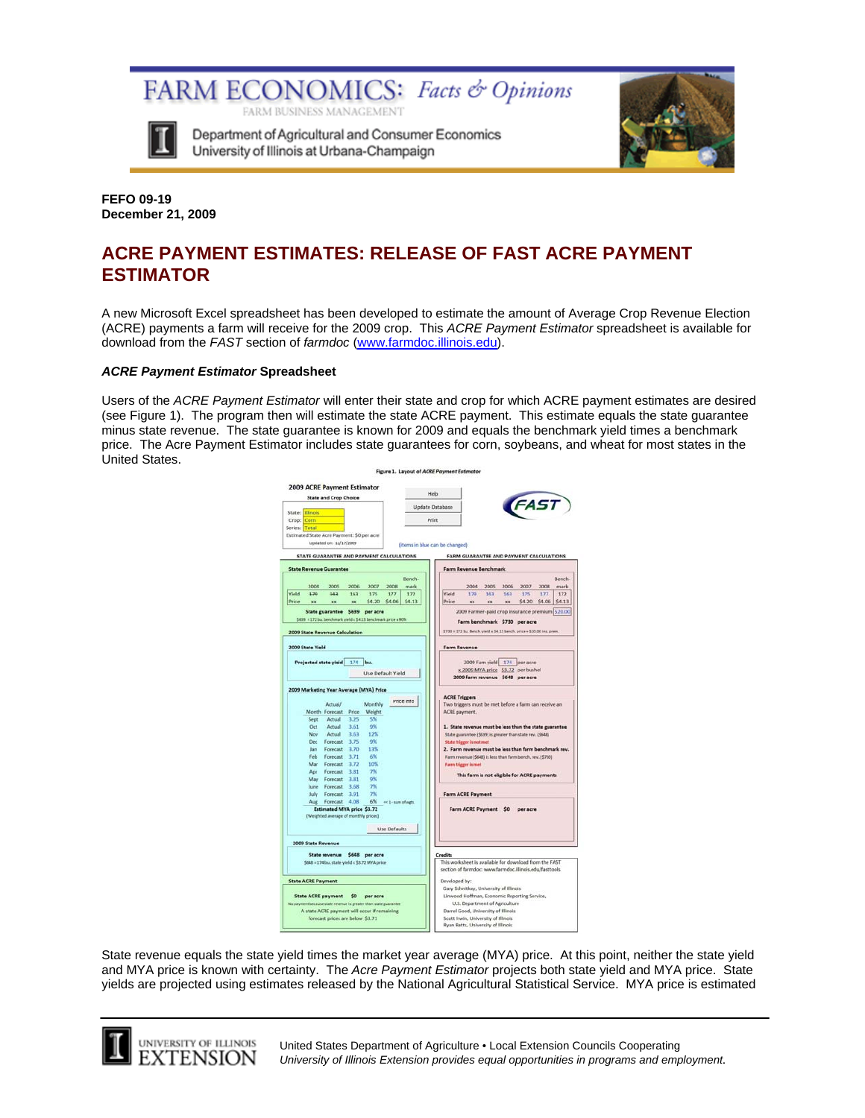

Department of Agricultural and Consumer Economics University of Illinois at Urbana-Champaign

FARM BUSINESS MANAGEMENT

FARM ECONOMICS: Facts & Opinions



**FEFO 09-19 December 21, 2009** 

# **ACRE PAYMENT ESTIMATES: RELEASE OF FAST ACRE PAYMENT ESTIMATOR**

A new Microsoft Excel spreadsheet has been developed to estimate the amount of Average Crop Revenue Election (ACRE) payments a farm will receive for the 2009 crop. This *ACRE Payment Estimator* spreadsheet is available for download from the *FAST* section of *farmdoc* (www.farmdoc.illinois.edu).

#### *ACRE Payment Estimator* **Spreadsheet**

Users of the *ACRE Payment Estimator* will enter their state and crop for which ACRE payment estimates are desired (see Figure 1). The program then will estimate the state ACRE payment. This estimate equals the state guarantee minus state revenue. The state guarantee is known for 2009 and equals the benchmark yield times a benchmark price. The Acre Payment Estimator includes state guarantees for corn, soybeans, and wheat for most states in the United States.

| <b>2009 ACRE Payment Estimator</b><br><b>State and Crop Choice</b> | Help                                                                                                              |
|--------------------------------------------------------------------|-------------------------------------------------------------------------------------------------------------------|
|                                                                    | <b>FAST</b><br>Update Database                                                                                    |
| State: Illinois                                                    |                                                                                                                   |
| Crop: Corn                                                         | Print                                                                                                             |
| Series: Total<br>Estimated State Acre Payment: \$0 per acre        |                                                                                                                   |
| Updated on: 12/17/2009                                             |                                                                                                                   |
|                                                                    | (items in blue can be changed)                                                                                    |
| STATE GUARANTEE AND PAYMENT CALCULATIONS                           | <b>FARM GUARANTEE AND PAYMENT CALCULATIONS</b>                                                                    |
| <b>State Revenue Guarantee</b>                                     | <b>Farm Revenue Benchmark</b>                                                                                     |
|                                                                    | Bench-<br>Bench-                                                                                                  |
| 2006<br>2004<br>2005<br>2007<br>2008                               | mark<br>2007<br>2008<br>2004<br>2005<br>2006<br>mark                                                              |
| Yield<br>179<br>143<br>163<br>177<br>175                           | 172<br>Yield<br>179<br>175<br>177<br>172<br>143<br>163                                                            |
| Price<br>\$4.20<br>\$4.06<br>xx<br>xx<br>$\overline{\mathbf{X}}$   | S4.13<br>Price<br>\$4.20<br>\$4.06<br>\$4.13<br>xx.<br><b>XX</b><br><b>XX</b>                                     |
| State guarantee \$639 per acre                                     | 2009 Farmer-paid crop insurance premium \$20.00                                                                   |
| \$639 = 172 bu. benchmark yield x \$4.13 benchmark price x 90%     | Farm benchmark \$730 per acre                                                                                     |
|                                                                    | \$730 = 172 bu. Bench. yield x \$4.13 bench. price + \$20.00 ins. prem.                                           |
| 2009 State Revenue Calculation                                     |                                                                                                                   |
| 2009 State Yield                                                   | <b>Farm Revenue</b>                                                                                               |
|                                                                    |                                                                                                                   |
| Projected state vield<br>174<br>bu.                                | 2009 Fam yield 174 per acre                                                                                       |
| Use Default Yield                                                  | x 2009 MYA price \$3.72 per bushel                                                                                |
|                                                                    | 2009 farm revenue \$648 per acre                                                                                  |
| 2009 Marketing Year Average (MYA) Price                            |                                                                                                                   |
|                                                                    | <b>ACRE Triggers</b>                                                                                              |
| <b>Actual/</b><br>Monthly                                          | Price info<br>Two triggers must be met before a farm can receive an                                               |
| Month Forecast Price<br>Weight                                     | ACRE payment.                                                                                                     |
| Actual<br>Sept<br>3.25<br>5%                                       |                                                                                                                   |
| Actual 3.61<br>oto<br>Oct.                                         | 1. State revenue must be less than the state guarantee                                                            |
| Actual 3.63<br>12%<br>Now.                                         | State guarantee (\$639) is greater than state rev. (\$648)                                                        |
| Dec Forecast 3.75<br>9%                                            | State trigger is not met                                                                                          |
| Jan Forecast 3.70<br>13%                                           | 2. Farm revenue must be less than farm benchmark rev.                                                             |
| Feb Forecast 3.71<br>6%                                            | Farm revenue (\$648) is less than farm bench, rev. (\$730).                                                       |
| Mar Forecast 3.72<br>10%<br>7%                                     | <b>Farm trigger</b> is met                                                                                        |
| Apr Forecast 3.81<br>9%<br>May Forecast 3.81                       | This farm is not eligible for ACRE payments                                                                       |
| lune Forecast 3.68<br>7%                                           |                                                                                                                   |
| July Forecast 3.91<br>7%                                           | <b>Farm ACRE Payment</b>                                                                                          |
| 6%<br>Aug Forecast 4.08                                            | or 1 - sizes of wats.                                                                                             |
| <b>Estimated MYA price \$3.72</b>                                  | Farm ACRE Payment \$0<br>per acre                                                                                 |
| (Weighted average of monthly prices)                               |                                                                                                                   |
|                                                                    |                                                                                                                   |
| <b>Use Defaults</b>                                                |                                                                                                                   |
| 2009 State Revenue                                                 |                                                                                                                   |
|                                                                    |                                                                                                                   |
| State revenue \$648 per acre                                       | Credits                                                                                                           |
| \$648 = 174 bu, state yield x \$3.72 MYA price                     | This worksheet is available for download from the FAST<br>section of farmdoc: www.farmdoc.illinois.edu/fasttools. |
|                                                                    |                                                                                                                   |
| <b>State ACRE Payment</b>                                          | Developed by:                                                                                                     |
|                                                                    | Gary Schnitkey, University of Illinois                                                                            |
| State ACRE payment \$0<br>per acre                                 | Linwood Hoffman, Economic Reporting Service,                                                                      |
| No payment because state revenue is greater than state guarantee   | U.S. Department of Agriculture                                                                                    |
| A state ACRE payment will occur if remaining                       | Darrel Good, University of Illinois                                                                               |
|                                                                    | Scott Irwin, University of Illinois                                                                               |
| forecast prices are below \$3.71                                   | Ryan Batts, University of Illinois                                                                                |

State revenue equals the state yield times the market year average (MYA) price. At this point, neither the state yield and MYA price is known with certainty. The *Acre Payment Estimator* projects both state yield and MYA price. State yields are projected using estimates released by the National Agricultural Statistical Service. MYA price is estimated



L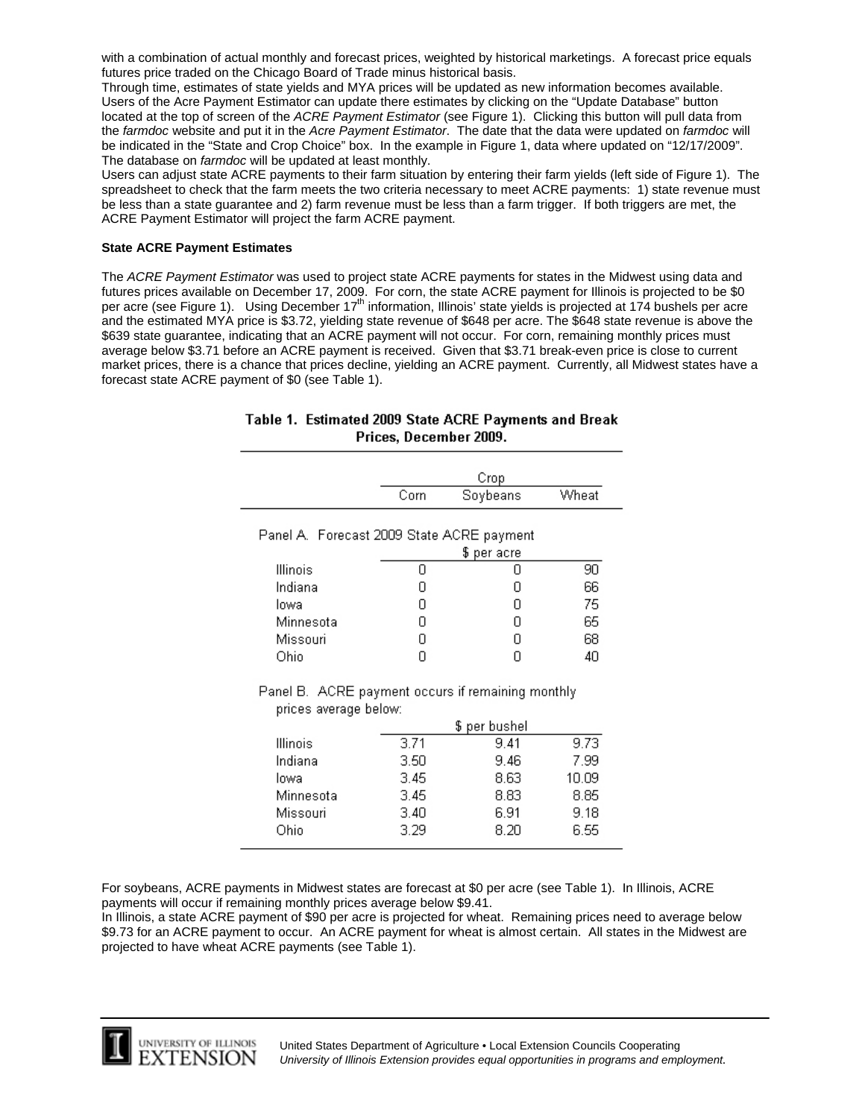with a combination of actual monthly and forecast prices, weighted by historical marketings. A forecast price equals futures price traded on the Chicago Board of Trade minus historical basis.

Through time, estimates of state yields and MYA prices will be updated as new information becomes available. Users of the Acre Payment Estimator can update there estimates by clicking on the "Update Database" button located at the top of screen of the *ACRE Payment Estimator* (see Figure 1). Clicking this button will pull data from the *farmdoc* website and put it in the *Acre Payment Estimator*. The date that the data were updated on *farmdoc* will be indicated in the "State and Crop Choice" box. In the example in Figure 1, data where updated on "12/17/2009". The database on *farmdoc* will be updated at least monthly.

Users can adjust state ACRE payments to their farm situation by entering their farm yields (left side of Figure 1). The spreadsheet to check that the farm meets the two criteria necessary to meet ACRE payments: 1) state revenue must be less than a state guarantee and 2) farm revenue must be less than a farm trigger. If both triggers are met, the ACRE Payment Estimator will project the farm ACRE payment.

#### **State ACRE Payment Estimates**

The *ACRE Payment Estimator* was used to project state ACRE payments for states in the Midwest using data and futures prices available on December 17, 2009. For corn, the state ACRE payment for Illinois is projected to be \$0 per acre (see Figure 1). Using December 17<sup>th</sup> information, Illinois' state yields is projected at 174 bushels per acre and the estimated MYA price is \$3.72, yielding state revenue of \$648 per acre. The \$648 state revenue is above the \$639 state guarantee, indicating that an ACRE payment will not occur. For corn, remaining monthly prices must average below \$3.71 before an ACRE payment is received. Given that \$3.71 break-even price is close to current market prices, there is a chance that prices decline, yielding an ACRE payment. Currently, all Midwest states have a forecast state ACRE payment of \$0 (see Table 1).

|                                                             | Crop |          |       |  |  |  |
|-------------------------------------------------------------|------|----------|-------|--|--|--|
|                                                             | Corn | Soybeans | Wheat |  |  |  |
| Panel A. Forecast 2009 State ACRE payment<br>per acre<br>\$ |      |          |       |  |  |  |
| Illinois                                                    | Π    |          | 90    |  |  |  |
| Indiana                                                     | Π    |          | 66    |  |  |  |
| lowa                                                        | Π    |          | 75    |  |  |  |
| Minnesota                                                   | П    |          | 65    |  |  |  |
| Missouri                                                    | Π    |          | 68    |  |  |  |
| Ohio                                                        |      |          | 4U    |  |  |  |

## Table 1. Estimated 2009 State ACRE Payments and Break Prices, December 2009.

Panel B. ACRE payment occurs if remaining monthly prices average below:

|           | per bushel<br>\$. |      |       |
|-----------|-------------------|------|-------|
| Illinois  | 3.71              | 9.41 | 9.73  |
| Indiana   | 3.50              | 9.46 | 7.99  |
| lowa      | 3.45              | 8.63 | 10.09 |
| Minnesota | 3.45              | 8.83 | 8.85  |
| Missouri  | 3.40              | 6.91 | 9.18  |
| Ohio      | 3.29              | 8.20 | 6.55  |

For soybeans, ACRE payments in Midwest states are forecast at \$0 per acre (see Table 1). In Illinois, ACRE payments will occur if remaining monthly prices average below \$9.41.

In Illinois, a state ACRE payment of \$90 per acre is projected for wheat. Remaining prices need to average below \$9.73 for an ACRE payment to occur. An ACRE payment for wheat is almost certain. All states in the Midwest are projected to have wheat ACRE payments (see Table 1).



L